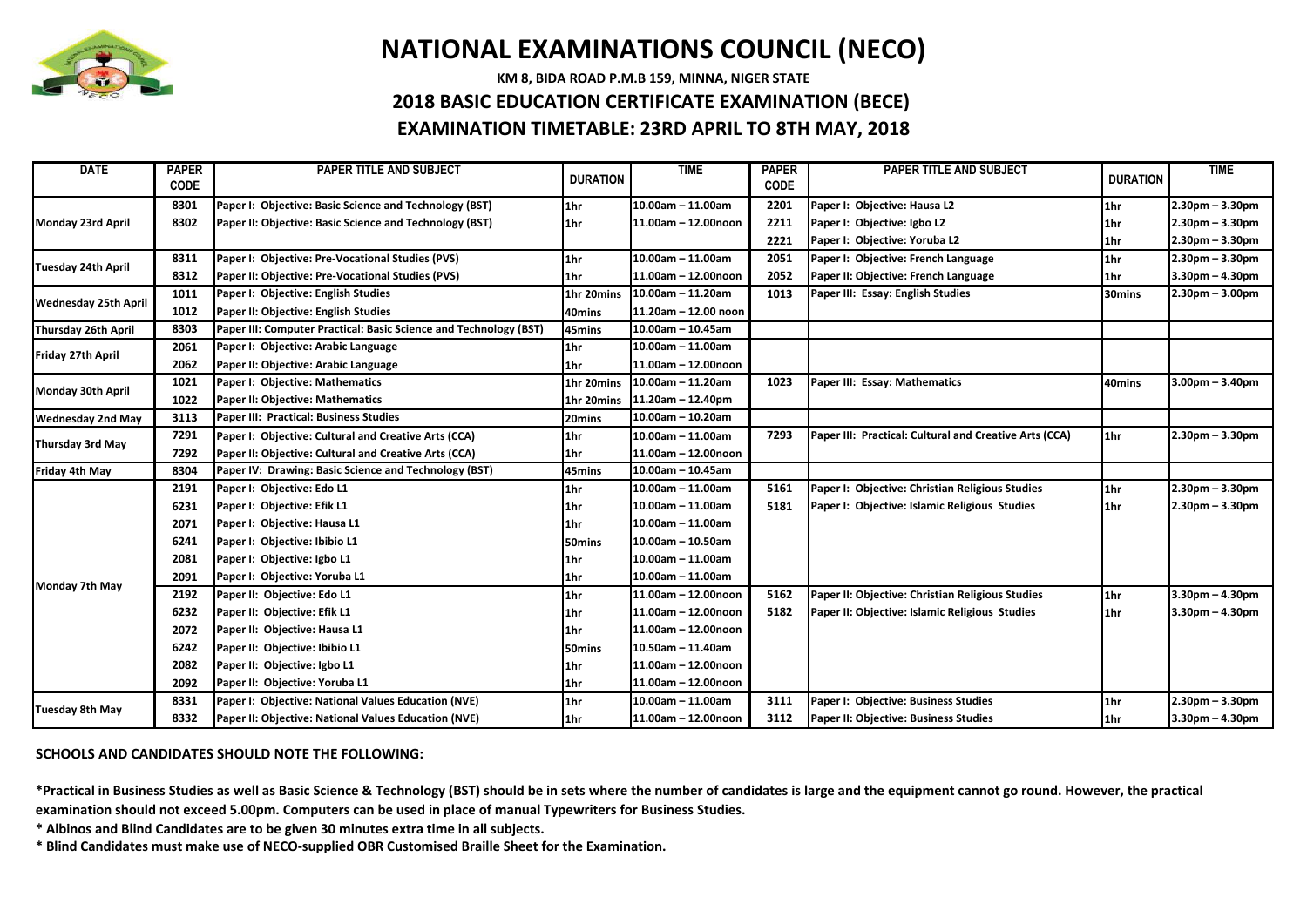

## **NATIONAL EXAMINATIONS COUNCIL (NECO)**

**KM 8, BIDA ROAD P.M.B 159, MINNA, NIGER STATE**

## **2018 BASIC EDUCATION CERTIFICATE EXAMINATION (BECE)**

**EXAMINATION TIMETABLE: 23RD APRIL TO 8TH MAY, 2018**

| <b>DATE</b>                 | <b>PAPER</b><br><b>CODE</b> | <b>PAPER TITLE AND SUBJECT</b>                                    | <b>DURATION</b>   | <b>TIME</b>          | <b>PAPER</b><br><b>CODE</b> | <b>PAPER TITLE AND SUBJECT</b>                         | <b>DURATION</b> | <b>TIME</b>       |
|-----------------------------|-----------------------------|-------------------------------------------------------------------|-------------------|----------------------|-----------------------------|--------------------------------------------------------|-----------------|-------------------|
| Monday 23rd April           | 8301                        | Paper I: Objective: Basic Science and Technology (BST)            | 1hr               | $10.00$ am - 11.00am | 2201                        | Paper I: Objective: Hausa L2                           | 1hr             | $2.30pm - 3.30pm$ |
|                             | 8302                        | Paper II: Objective: Basic Science and Technology (BST)           | 1 <sub>hr</sub>   | 11.00am - 12.00noon  | 2211                        | Paper I: Objective: Igbo L2                            | 1hr             | $2.30pm - 3.30pm$ |
|                             |                             |                                                                   |                   |                      | 2221                        | Paper I: Objective: Yoruba L2                          | 1hr             | $2.30pm - 3.30pm$ |
| Tuesday 24th April          | 8311                        | Paper I: Objective: Pre-Vocational Studies (PVS)                  | 1hr               | $10.00$ am - 11.00am | 2051                        | Paper I: Objective: French Language                    | 1hr             | $2.30pm - 3.30pm$ |
|                             | 8312                        | Paper II: Objective: Pre-Vocational Studies (PVS)                 | 1hr               | 11.00am - 12.00noon  | 2052                        | Paper II: Objective: French Language                   | 1hr             | $3.30pm - 4.30pm$ |
| <b>Wednesday 25th April</b> | 1011                        | Paper I: Objective: English Studies                               | 1hr 20mins        | $10.00$ am - 11.20am | 1013                        | Paper III: Essay: English Studies                      | 30mins          | $2.30pm - 3.00pm$ |
|                             | 1012                        | Paper II: Objective: English Studies                              | 40mins            | 11.20am - 12.00 noon |                             |                                                        |                 |                   |
| Thursday 26th April         | 8303                        | Paper III: Computer Practical: Basic Science and Technology (BST) | 45mins            | 10.00am - 10.45am    |                             |                                                        |                 |                   |
| Friday 27th April           | 2061                        | Paper I: Objective: Arabic Language                               | 1hr               | $10.00$ am - 11.00am |                             |                                                        |                 |                   |
|                             | 2062                        | Paper II: Objective: Arabic Language                              | 1 <sub>hr</sub>   | 11.00am - 12.00noon  |                             |                                                        |                 |                   |
| Monday 30th April           | 1021                        | Paper I: Objective: Mathematics                                   | 1hr 20mins        | 10.00am - 11.20am    | 1023                        | Paper III: Essay: Mathematics                          | 40mins          | $3.00pm - 3.40pm$ |
|                             | 1022                        | Paper II: Objective: Mathematics                                  | 1hr 20mins        | 11.20am - 12.40pm    |                             |                                                        |                 |                   |
| <b>Wednesday 2nd May</b>    | 3113                        | Paper III: Practical: Business Studies                            | 20mins            | $10.00$ am - 10.20am |                             |                                                        |                 |                   |
| Thursday 3rd May            | 7291                        | Paper I: Objective: Cultural and Creative Arts (CCA)              | 1 <sub>1</sub> hr | $10.00$ am - 11.00am | 7293                        | Paper III: Practical: Cultural and Creative Arts (CCA) | 1hr             | $2.30pm - 3.30pm$ |
|                             | 7292                        | Paper II: Objective: Cultural and Creative Arts (CCA)             | 1hr               | 11.00am - 12.00noon  |                             |                                                        |                 |                   |
| Friday 4th May              | 8304                        | Paper IV: Drawing: Basic Science and Technology (BST)             | 45mins            | $10.00$ am - 10.45am |                             |                                                        |                 |                   |
| Monday 7th May              | 2191                        | Paper I: Objective: Edo L1                                        | 1 <sub>1</sub> hr | $10.00$ am - 11.00am | 5161                        | Paper I: Objective: Christian Religious Studies        | 1hr             | $2.30pm - 3.30pm$ |
|                             | 6231                        | Paper I: Objective: Efik L1                                       | 1hr               | $10.00$ am - 11.00am | 5181                        | Paper I: Objective: Islamic Religious Studies          | 1hr             | $2.30pm - 3.30pm$ |
|                             | 2071                        | Paper I: Objective: Hausa L1                                      | l1hr              | $10.00$ am - 11.00am |                             |                                                        |                 |                   |
|                             | 6241                        | Paper I: Objective: Ibibio L1                                     | 50mins            | $10.00$ am - 10.50am |                             |                                                        |                 |                   |
|                             | 2081                        | Paper I: Objective: Igbo L1                                       | l1hr              | $10.00$ am - 11.00am |                             |                                                        |                 |                   |
|                             | 2091                        | Paper I: Objective: Yoruba L1                                     | 1hr               | $10.00$ am - 11.00am |                             |                                                        |                 |                   |
|                             | 2192                        | Paper II: Objective: Edo L1                                       | 1 <sub>1</sub> hr | 11.00am - 12.00noon  | 5162                        | Paper II: Objective: Christian Religious Studies       | 1hr             | $3.30pm - 4.30pm$ |
|                             | 6232                        | Paper II: Objective: Efik L1                                      | l1hr              | 11.00am - 12.00noon  | 5182                        | Paper II: Objective: Islamic Religious Studies         | 1hr             | $3.30pm - 4.30pm$ |
|                             | 2072                        | Paper II: Objective: Hausa L1                                     | l1hr              | 11.00am - 12.00noon  |                             |                                                        |                 |                   |
|                             | 6242                        | Paper II: Objective: Ibibio L1                                    | 50mins            | 10.50am - 11.40am    |                             |                                                        |                 |                   |
|                             | 2082                        | Paper II: Objective: Igbo L1                                      | l1hr              | 11.00am - 12.00noon  |                             |                                                        |                 |                   |
|                             | 2092                        | Paper II: Objective: Yoruba L1                                    | 1hr               | 11.00am - 12.00noon  |                             |                                                        |                 |                   |
| <b>Tuesday 8th May</b>      | 8331                        | Paper I: Objective: National Values Education (NVE)               | 1 <sub>1</sub> hr | $10.00$ am - 11.00am | 3111                        | Paper I: Objective: Business Studies                   | 1hr             | $2.30pm - 3.30pm$ |
|                             | 8332                        | Paper II: Objective: National Values Education (NVE)              | 1hr               | 11.00am - 12.00noon  | 3112                        | Paper II: Objective: Business Studies                  | 1hr             | $3.30pm - 4.30pm$ |

**SCHOOLS AND CANDIDATES SHOULD NOTE THE FOLLOWING:**

**\*Practical in Business Studies as well as Basic Science & Technology (BST) should be in sets where the number of candidates is large and the equipment cannot go round. However, the practical examination should not exceed 5.00pm. Computers can be used in place of manual Typewriters for Business Studies.**

**\* Albinos and Blind Candidates are to be given 30 minutes extra time in all subjects.** 

**\* Blind Candidates must make use of NECO-supplied OBR Customised Braille Sheet for the Examination.**